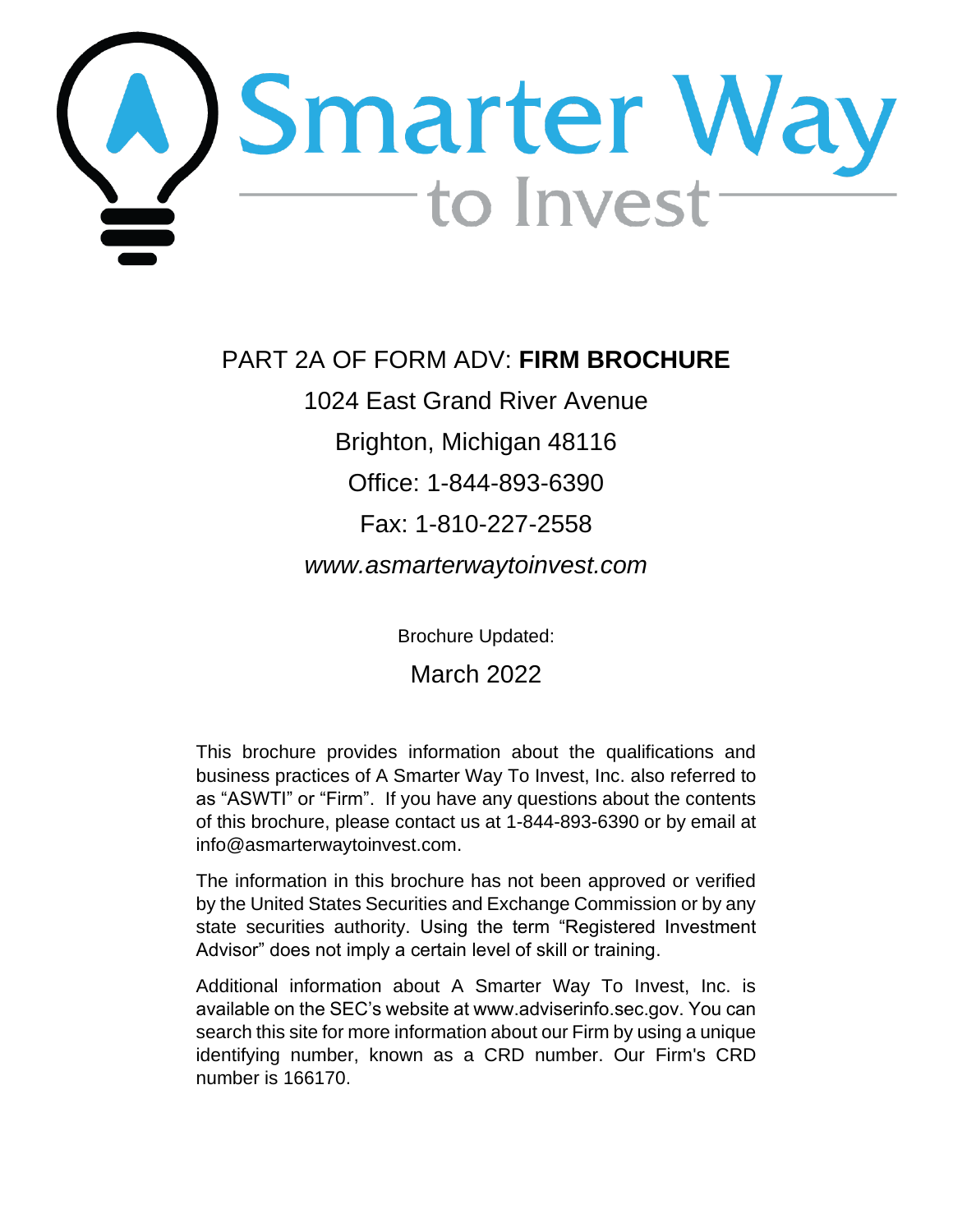<span id="page-0-0"></span>

PART 2A OF FORM ADV: **FIRM BROCHURE**

1024 East Grand River Avenue

Brighton, Michigan 48116

Office: 1-844-893-6390

# Fax: 1-810-227-2558

*www.asmarterwaytoinvest.com*

Brochure Updated:

March 2022

This brochure provides information about the qualifications and business practices of A Smarter Way To Invest, Inc. also referred to as "ASWTI" or "Firm". If you have any questions about the contents of this brochure, please contact us at 1-844-893-6390 or by email at info@asmarterwaytoinvest.com.

The information in this brochure has not been approved or verified by the United States Securities and Exchange Commission or by any state securities authority. Using the term "Registered Investment Advisor" does not imply a certain level of skill or training.

Additional information about A Smarter Way To Invest, Inc. is available on the SEC's website at www.adviserinfo.sec.gov. You can search this site for more information about our Firm by using a unique identifying number, known as a CRD number. Our Firm's CRD number is 166170.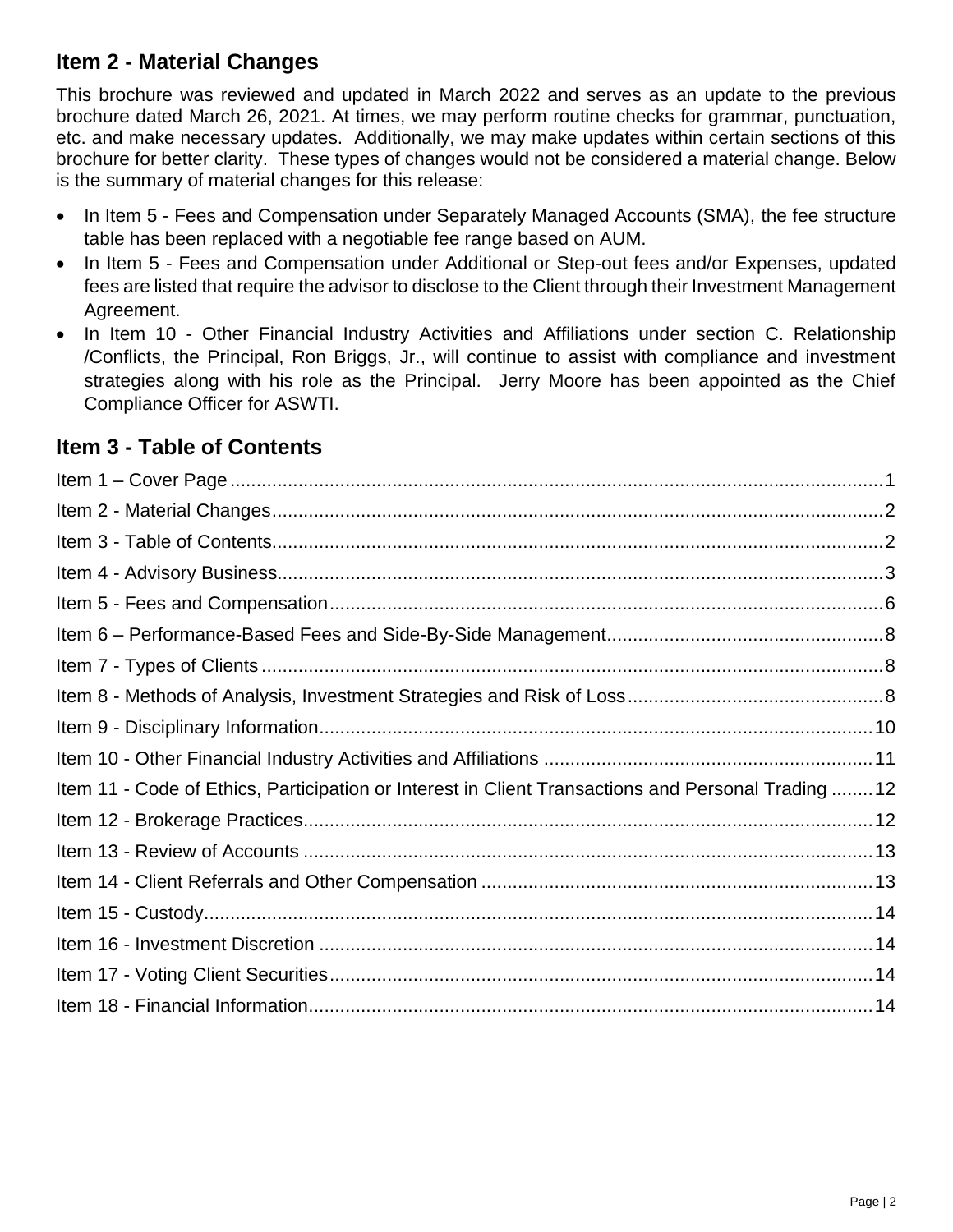## <span id="page-1-0"></span>**Item 2 - Material Changes**

This brochure was reviewed and updated in March 2022 and serves as an update to the previous brochure dated March 26, 2021. At times, we may perform routine checks for grammar, punctuation, etc. and make necessary updates. Additionally, we may make updates within certain sections of this brochure for better clarity. These types of changes would not be considered a material change. Below is the summary of material changes for this release:

- In Item 5 Fees and Compensation under Separately Managed Accounts (SMA), the fee structure table has been replaced with a negotiable fee range based on AUM.
- In Item 5 Fees and Compensation under Additional or Step-out fees and/or Expenses, updated fees are listed that require the advisor to disclose to the Client through their Investment Management Agreement.
- In Item 10 Other Financial Industry Activities and Affiliations under section C. Relationship /Conflicts, the Principal, Ron Briggs, Jr., will continue to assist with compliance and investment strategies along with his role as the Principal. Jerry Moore has been appointed as the Chief Compliance Officer for ASWTI.

# <span id="page-1-1"></span>**Item 3 - Table of Contents**

| Item 11 - Code of Ethics, Participation or Interest in Client Transactions and Personal Trading 12 |  |
|----------------------------------------------------------------------------------------------------|--|
|                                                                                                    |  |
|                                                                                                    |  |
|                                                                                                    |  |
|                                                                                                    |  |
|                                                                                                    |  |
|                                                                                                    |  |
|                                                                                                    |  |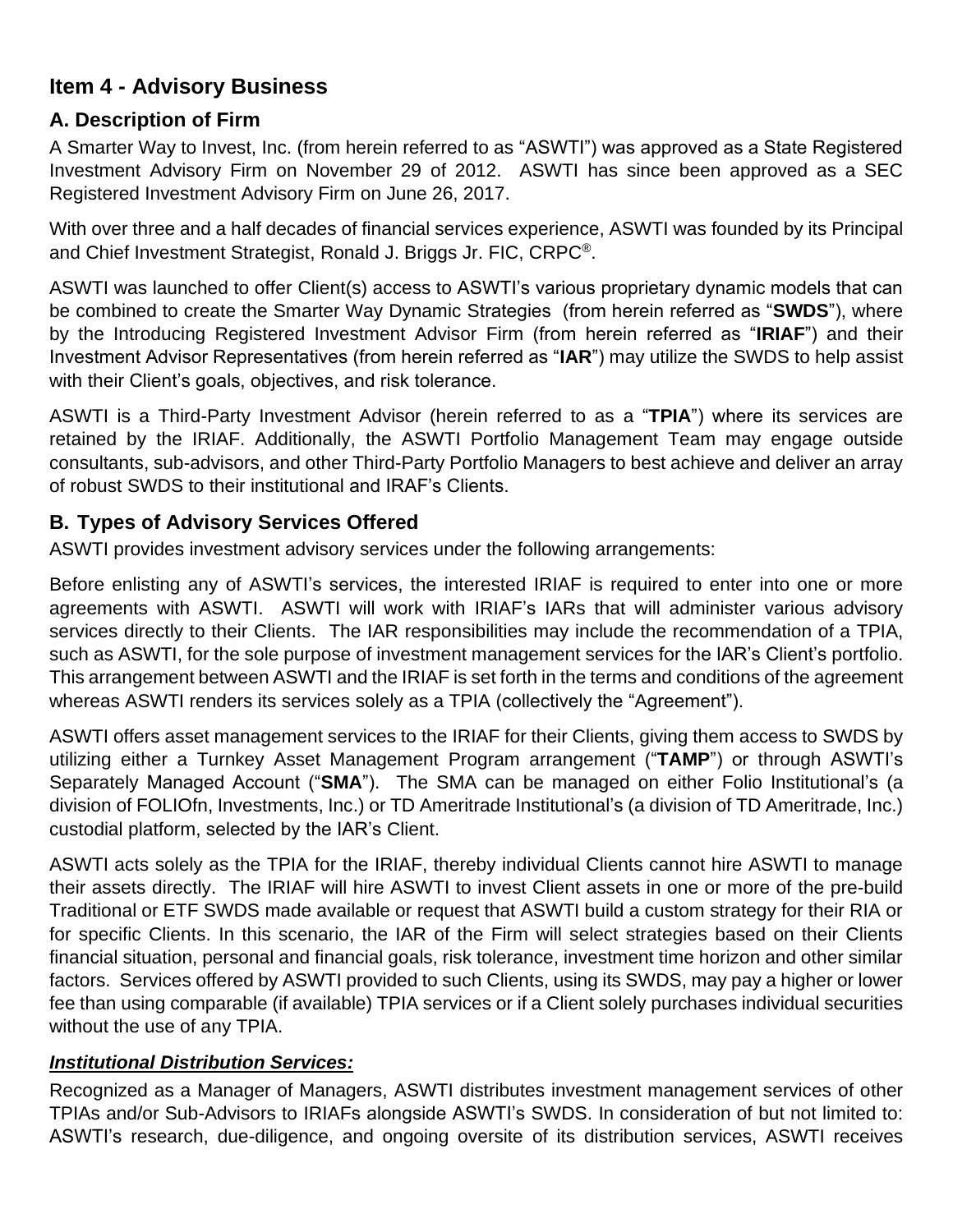# <span id="page-2-0"></span>**Item 4 - Advisory Business**

## **A. Description of Firm**

A Smarter Way to Invest, Inc. (from herein referred to as "ASWTI") was approved as a State Registered Investment Advisory Firm on November 29 of 2012. ASWTI has since been approved as a SEC Registered Investment Advisory Firm on June 26, 2017.

With over three and a half decades of financial services experience, ASWTI was founded by its Principal and Chief Investment Strategist, Ronald J. Briggs Jr. FIC, CRPC®.

ASWTI was launched to offer Client(s) access to ASWTI's various proprietary dynamic models that can be combined to create the Smarter Way Dynamic Strategies (from herein referred as "**SWDS**"), where by the Introducing Registered Investment Advisor Firm (from herein referred as "**IRIAF**") and their Investment Advisor Representatives (from herein referred as "**IAR**") may utilize the SWDS to help assist with their Client's goals, objectives, and risk tolerance.

ASWTI is a Third-Party Investment Advisor (herein referred to as a "**TPIA**") where its services are retained by the IRIAF. Additionally, the ASWTI Portfolio Management Team may engage outside consultants, sub-advisors, and other Third-Party Portfolio Managers to best achieve and deliver an array of robust SWDS to their institutional and IRAF's Clients.

## **B. Types of Advisory Services Offered**

ASWTI provides investment advisory services under the following arrangements:

Before enlisting any of ASWTI's services, the interested IRIAF is required to enter into one or more agreements with ASWTI. ASWTI will work with IRIAF's IARs that will administer various advisory services directly to their Clients. The IAR responsibilities may include the recommendation of a TPIA, such as ASWTI, for the sole purpose of investment management services for the IAR's Client's portfolio. This arrangement between ASWTI and the IRIAF is set forth in the terms and conditions of the agreement whereas ASWTI renders its services solely as a TPIA (collectively the "Agreement").

ASWTI offers asset management services to the IRIAF for their Clients, giving them access to SWDS by utilizing either a Turnkey Asset Management Program arrangement ("**TAMP**") or through ASWTI's Separately Managed Account ("**SMA**"). The SMA can be managed on either Folio Institutional's (a division of FOLIOfn, Investments, Inc.) or TD Ameritrade Institutional's (a division of TD Ameritrade, Inc.) custodial platform, selected by the IAR's Client.

ASWTI acts solely as the TPIA for the IRIAF, thereby individual Clients cannot hire ASWTI to manage their assets directly. The IRIAF will hire ASWTI to invest Client assets in one or more of the pre-build Traditional or ETF SWDS made available or request that ASWTI build a custom strategy for their RIA or for specific Clients. In this scenario, the IAR of the Firm will select strategies based on their Clients financial situation, personal and financial goals, risk tolerance, investment time horizon and other similar factors. Services offered by ASWTI provided to such Clients, using its SWDS, may pay a higher or lower fee than using comparable (if available) TPIA services or if a Client solely purchases individual securities without the use of any TPIA.

## *Institutional Distribution Services:*

Recognized as a Manager of Managers, ASWTI distributes investment management services of other TPIAs and/or Sub-Advisors to IRIAFs alongside ASWTI's SWDS. In consideration of but not limited to: ASWTI's research, due-diligence, and ongoing oversite of its distribution services, ASWTI receives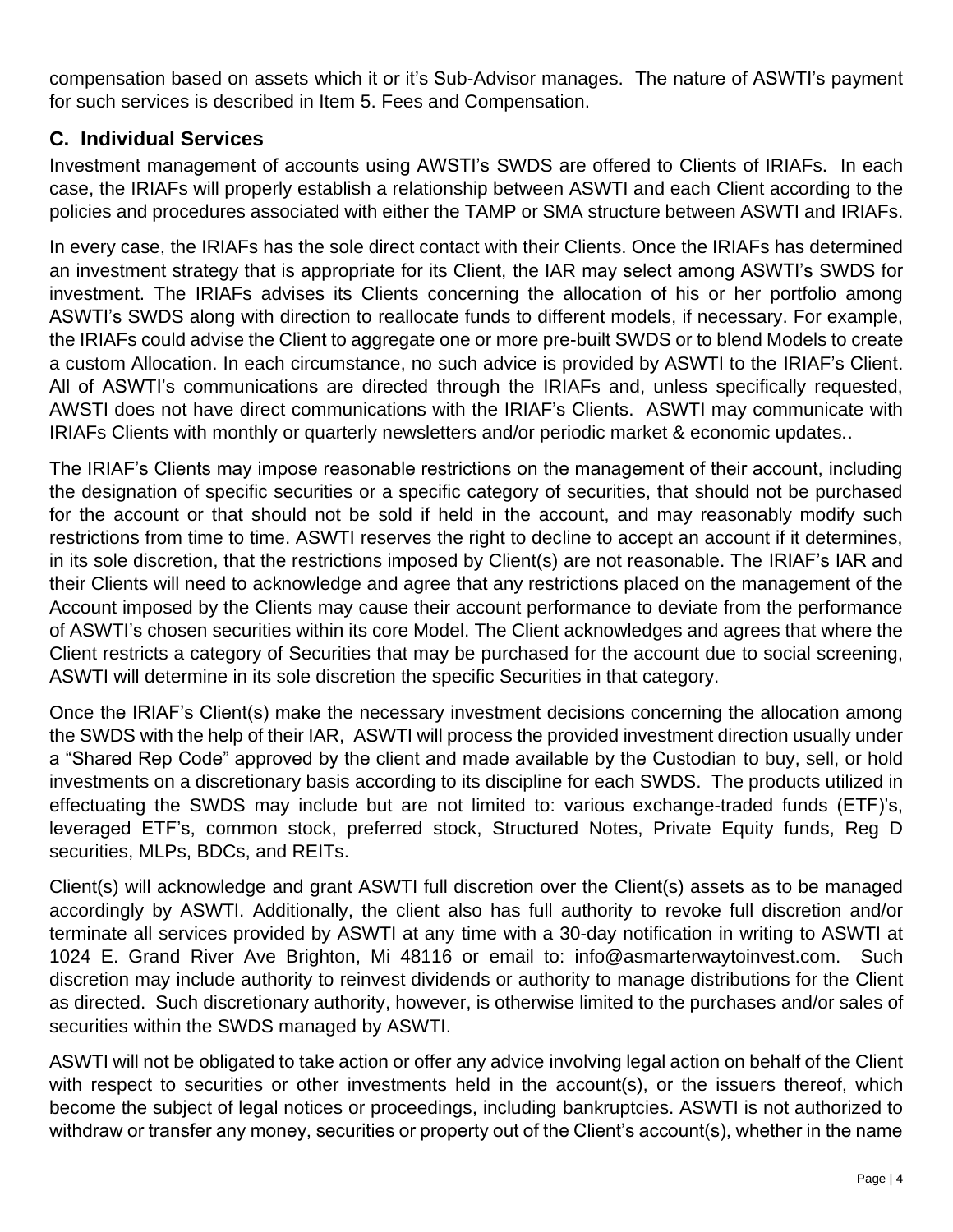compensation based on assets which it or it's Sub-Advisor manages. The nature of ASWTI's payment for such services is described in Item 5. Fees and Compensation.

## **C. Individual Services**

Investment management of accounts using AWSTI's SWDS are offered to Clients of IRIAFs. In each case, the IRIAFs will properly establish a relationship between ASWTI and each Client according to the policies and procedures associated with either the TAMP or SMA structure between ASWTI and IRIAFs.

In every case, the IRIAFs has the sole direct contact with their Clients. Once the IRIAFs has determined an investment strategy that is appropriate for its Client, the IAR may select among ASWTI's SWDS for investment. The IRIAFs advises its Clients concerning the allocation of his or her portfolio among ASWTI's SWDS along with direction to reallocate funds to different models, if necessary. For example, the IRIAFs could advise the Client to aggregate one or more pre-built SWDS or to blend Models to create a custom Allocation. In each circumstance, no such advice is provided by ASWTI to the IRIAF's Client. All of ASWTI's communications are directed through the IRIAFs and, unless specifically requested, AWSTI does not have direct communications with the IRIAF's Clients. ASWTI may communicate with IRIAFs Clients with monthly or quarterly newsletters and/or periodic market & economic updates..

The IRIAF's Clients may impose reasonable restrictions on the management of their account, including the designation of specific securities or a specific category of securities, that should not be purchased for the account or that should not be sold if held in the account, and may reasonably modify such restrictions from time to time. ASWTI reserves the right to decline to accept an account if it determines, in its sole discretion, that the restrictions imposed by Client(s) are not reasonable. The IRIAF's IAR and their Clients will need to acknowledge and agree that any restrictions placed on the management of the Account imposed by the Clients may cause their account performance to deviate from the performance of ASWTI's chosen securities within its core Model. The Client acknowledges and agrees that where the Client restricts a category of Securities that may be purchased for the account due to social screening, ASWTI will determine in its sole discretion the specific Securities in that category.

Once the IRIAF's Client(s) make the necessary investment decisions concerning the allocation among the SWDS with the help of their IAR, ASWTI will process the provided investment direction usually under a "Shared Rep Code" approved by the client and made available by the Custodian to buy, sell, or hold investments on a discretionary basis according to its discipline for each SWDS. The products utilized in effectuating the SWDS may include but are not limited to: various exchange-traded funds (ETF)'s, leveraged ETF's, common stock, preferred stock, Structured Notes, Private Equity funds, Reg D securities, MLPs, BDCs, and REITs.

Client(s) will acknowledge and grant ASWTI full discretion over the Client(s) assets as to be managed accordingly by ASWTI. Additionally, the client also has full authority to revoke full discretion and/or terminate all services provided by ASWTI at any time with a 30-day notification in writing to ASWTI at 1024 E. Grand River Ave Brighton, Mi 48116 or email to: info@asmarterwaytoinvest.com. Such discretion may include authority to reinvest dividends or authority to manage distributions for the Client as directed. Such discretionary authority, however, is otherwise limited to the purchases and/or sales of securities within the SWDS managed by ASWTI.

ASWTI will not be obligated to take action or offer any advice involving legal action on behalf of the Client with respect to securities or other investments held in the account(s), or the issuers thereof, which become the subject of legal notices or proceedings, including bankruptcies. ASWTI is not authorized to withdraw or transfer any money, securities or property out of the Client's account(s), whether in the name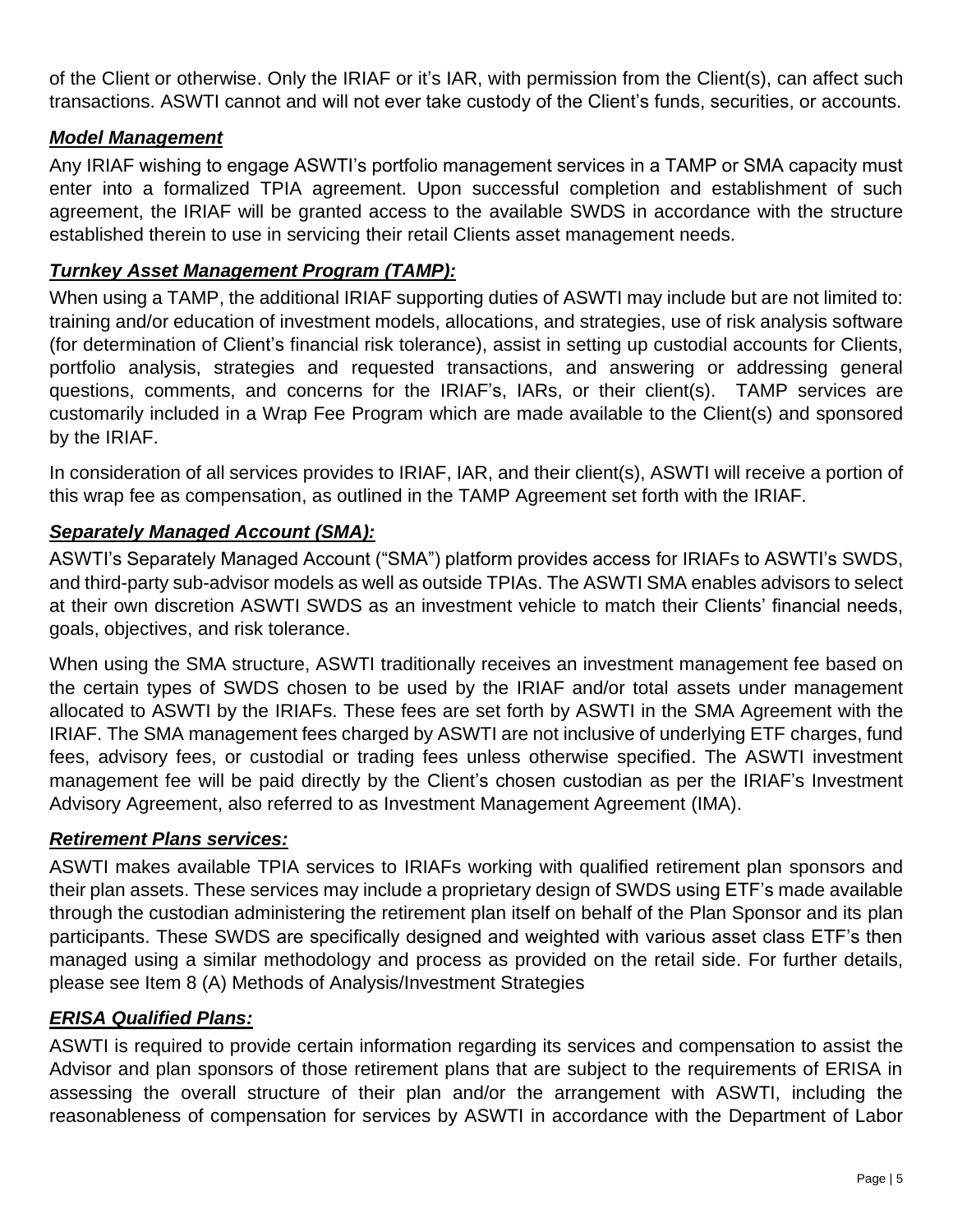of the Client or otherwise. Only the IRIAF or it's IAR, with permission from the Client(s), can affect such transactions. ASWTI cannot and will not ever take custody of the Client's funds, securities, or accounts.

#### *Model Management*

Any IRIAF wishing to engage ASWTI's portfolio management services in a TAMP or SMA capacity must enter into a formalized TPIA agreement. Upon successful completion and establishment of such agreement, the IRIAF will be granted access to the available SWDS in accordance with the structure established therein to use in servicing their retail Clients asset management needs.

#### *Turnkey Asset Management Program (TAMP):*

When using a TAMP, the additional IRIAF supporting duties of ASWTI may include but are not limited to: training and/or education of investment models, allocations, and strategies, use of risk analysis software (for determination of Client's financial risk tolerance), assist in setting up custodial accounts for Clients, portfolio analysis, strategies and requested transactions, and answering or addressing general questions, comments, and concerns for the IRIAF's, IARs, or their client(s). TAMP services are customarily included in a Wrap Fee Program which are made available to the Client(s) and sponsored by the IRIAF.

In consideration of all services provides to IRIAF, IAR, and their client(s), ASWTI will receive a portion of this wrap fee as compensation, as outlined in the TAMP Agreement set forth with the IRIAF.

#### *Separately Managed Account (SMA):*

ASWTI's Separately Managed Account ("SMA") platform provides access for IRIAFs to ASWTI's SWDS, and third-party sub-advisor models as well as outside TPIAs. The ASWTI SMA enables advisors to select at their own discretion ASWTI SWDS as an investment vehicle to match their Clients' financial needs, goals, objectives, and risk tolerance.

When using the SMA structure, ASWTI traditionally receives an investment management fee based on the certain types of SWDS chosen to be used by the IRIAF and/or total assets under management allocated to ASWTI by the IRIAFs. These fees are set forth by ASWTI in the SMA Agreement with the IRIAF. The SMA management fees charged by ASWTI are not inclusive of underlying ETF charges, fund fees, advisory fees, or custodial or trading fees unless otherwise specified. The ASWTI investment management fee will be paid directly by the Client's chosen custodian as per the IRIAF's Investment Advisory Agreement, also referred to as Investment Management Agreement (IMA).

#### *Retirement Plans services:*

ASWTI makes available TPIA services to IRIAFs working with qualified retirement plan sponsors and their plan assets. These services may include a proprietary design of SWDS using ETF's made available through the custodian administering the retirement plan itself on behalf of the Plan Sponsor and its plan participants. These SWDS are specifically designed and weighted with various asset class ETF's then managed using a similar methodology and process as provided on the retail side. For further details, please see Item 8 (A) Methods of Analysis/Investment Strategies

#### *ERISA Qualified Plans:*

ASWTI is required to provide certain information regarding its services and compensation to assist the Advisor and plan sponsors of those retirement plans that are subject to the requirements of ERISA in assessing the overall structure of their plan and/or the arrangement with ASWTI, including the reasonableness of compensation for services by ASWTI in accordance with the Department of Labor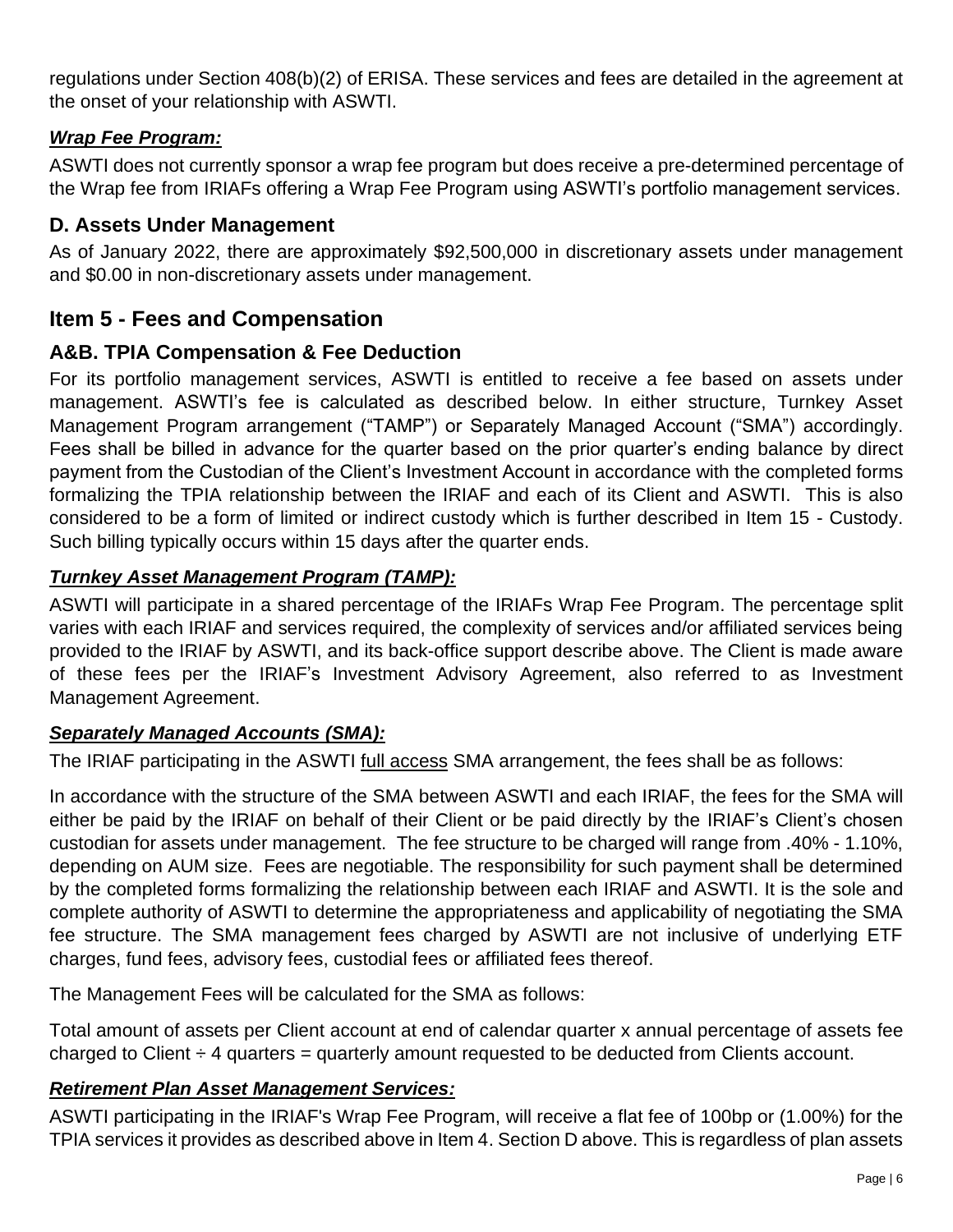regulations under Section 408(b)(2) of ERISA. These services and fees are detailed in the agreement at the onset of your relationship with ASWTI.

### *Wrap Fee Program:*

ASWTI does not currently sponsor a wrap fee program but does receive a pre-determined percentage of the Wrap fee from IRIAFs offering a Wrap Fee Program using ASWTI's portfolio management services.

## **D. Assets Under Management**

As of January 2022, there are approximately \$92,500,000 in discretionary assets under management and \$0.00 in non-discretionary assets under management.

## <span id="page-5-0"></span>**Item 5 - Fees and Compensation**

## **A&B. TPIA Compensation & Fee Deduction**

For its portfolio management services, ASWTI is entitled to receive a fee based on assets under management. ASWTI's fee is calculated as described below. In either structure, Turnkey Asset Management Program arrangement ("TAMP") or Separately Managed Account ("SMA") accordingly. Fees shall be billed in advance for the quarter based on the prior quarter's ending balance by direct payment from the Custodian of the Client's Investment Account in accordance with the completed forms formalizing the TPIA relationship between the IRIAF and each of its Client and ASWTI. This is also considered to be a form of limited or indirect custody which is further described in Item 15 - Custody. Such billing typically occurs within 15 days after the quarter ends.

### *Turnkey Asset Management Program (TAMP):*

ASWTI will participate in a shared percentage of the IRIAFs Wrap Fee Program. The percentage split varies with each IRIAF and services required, the complexity of services and/or affiliated services being provided to the IRIAF by ASWTI, and its back-office support describe above. The Client is made aware of these fees per the IRIAF's Investment Advisory Agreement, also referred to as Investment Management Agreement.

#### *Separately Managed Accounts (SMA):*

The IRIAF participating in the ASWTI full access SMA arrangement, the fees shall be as follows:

In accordance with the structure of the SMA between ASWTI and each IRIAF, the fees for the SMA will either be paid by the IRIAF on behalf of their Client or be paid directly by the IRIAF's Client's chosen custodian for assets under management. The fee structure to be charged will range from .40% - 1.10%, depending on AUM size. Fees are negotiable. The responsibility for such payment shall be determined by the completed forms formalizing the relationship between each IRIAF and ASWTI. It is the sole and complete authority of ASWTI to determine the appropriateness and applicability of negotiating the SMA fee structure. The SMA management fees charged by ASWTI are not inclusive of underlying ETF charges, fund fees, advisory fees, custodial fees or affiliated fees thereof.

The Management Fees will be calculated for the SMA as follows:

Total amount of assets per Client account at end of calendar quarter x annual percentage of assets fee charged to Client  $\div$  4 quarters = quarterly amount requested to be deducted from Clients account.

## *Retirement Plan Asset Management Services:*

ASWTI participating in the IRIAF's Wrap Fee Program, will receive a flat fee of 100bp or (1.00%) for the TPIA services it provides as described above in Item 4. Section D above. This is regardless of plan assets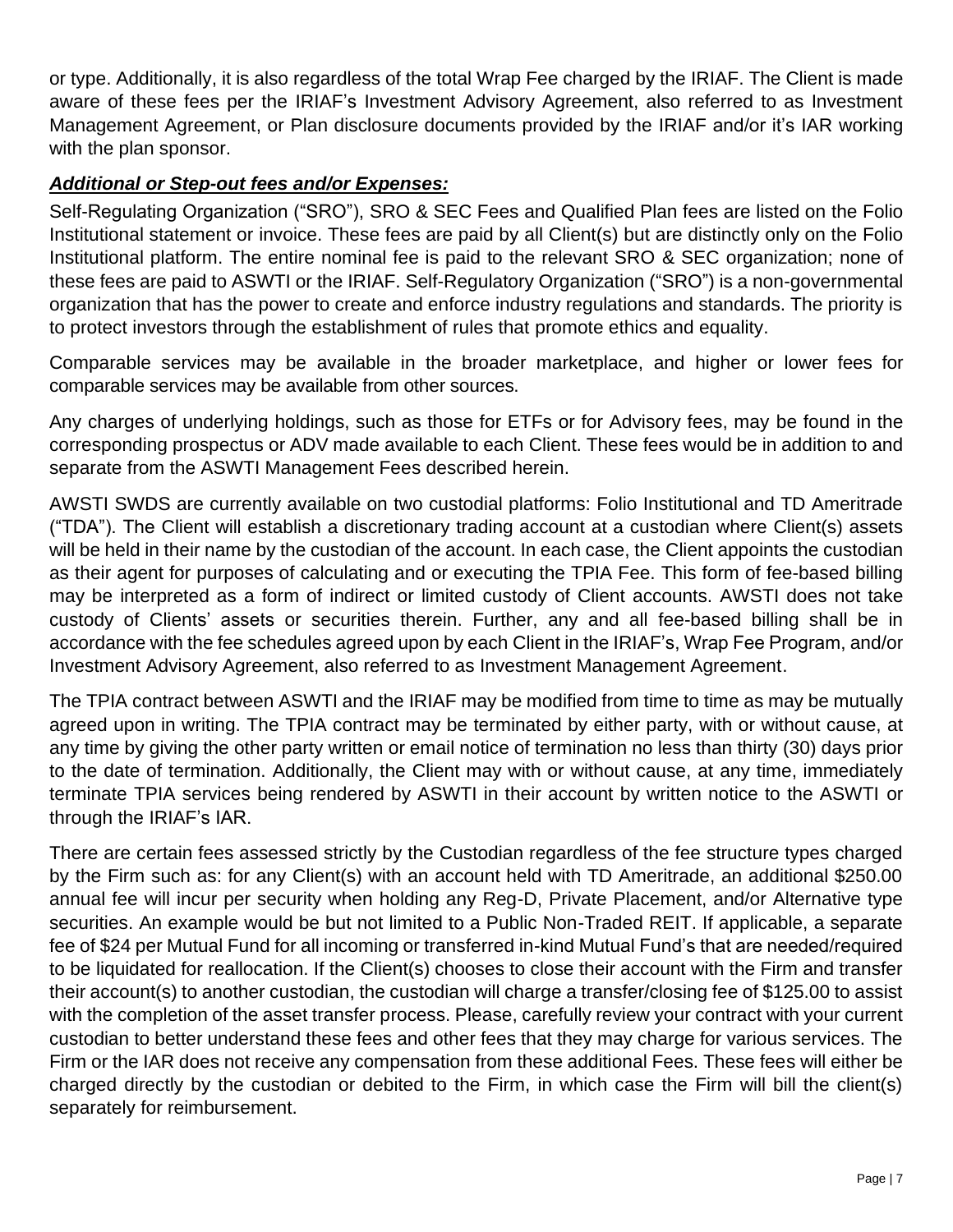or type. Additionally, it is also regardless of the total Wrap Fee charged by the IRIAF. The Client is made aware of these fees per the IRIAF's Investment Advisory Agreement, also referred to as Investment Management Agreement, or Plan disclosure documents provided by the IRIAF and/or it's IAR working with the plan sponsor.

### *Additional or Step-out fees and/or Expenses:*

Self-Regulating Organization ("SRO"), SRO & SEC Fees and Qualified Plan fees are listed on the Folio Institutional statement or invoice. These fees are paid by all Client(s) but are distinctly only on the Folio Institutional platform. The entire nominal fee is paid to the relevant SRO & SEC organization; none of these fees are paid to ASWTI or the IRIAF. Self-Regulatory Organization ("SRO") is a non-governmental organization that has the power to create and enforce industry regulations and standards. The priority is to protect investors through the establishment of rules that promote ethics and equality.

Comparable services may be available in the broader marketplace, and higher or lower fees for comparable services may be available from other sources.

Any charges of underlying holdings, such as those for ETFs or for Advisory fees, may be found in the corresponding prospectus or ADV made available to each Client. These fees would be in addition to and separate from the ASWTI Management Fees described herein.

AWSTI SWDS are currently available on two custodial platforms: Folio Institutional and TD Ameritrade ("TDA"). The Client will establish a discretionary trading account at a custodian where Client(s) assets will be held in their name by the custodian of the account. In each case, the Client appoints the custodian as their agent for purposes of calculating and or executing the TPIA Fee. This form of fee-based billing may be interpreted as a form of indirect or limited custody of Client accounts. AWSTI does not take custody of Clients' assets or securities therein. Further, any and all fee-based billing shall be in accordance with the fee schedules agreed upon by each Client in the IRIAF's, Wrap Fee Program, and/or Investment Advisory Agreement, also referred to as Investment Management Agreement.

The TPIA contract between ASWTI and the IRIAF may be modified from time to time as may be mutually agreed upon in writing. The TPIA contract may be terminated by either party, with or without cause, at any time by giving the other party written or email notice of termination no less than thirty (30) days prior to the date of termination. Additionally, the Client may with or without cause, at any time, immediately terminate TPIA services being rendered by ASWTI in their account by written notice to the ASWTI or through the IRIAF's IAR.

There are certain fees assessed strictly by the Custodian regardless of the fee structure types charged by the Firm such as: for any Client(s) with an account held with TD Ameritrade, an additional \$250.00 annual fee will incur per security when holding any Reg-D, Private Placement, and/or Alternative type securities. An example would be but not limited to a Public Non-Traded REIT. If applicable, a separate fee of \$24 per Mutual Fund for all incoming or transferred in-kind Mutual Fund's that are needed/required to be liquidated for reallocation. If the Client(s) chooses to close their account with the Firm and transfer their account(s) to another custodian, the custodian will charge a transfer/closing fee of \$125.00 to assist with the completion of the asset transfer process. Please, carefully review your contract with your current custodian to better understand these fees and other fees that they may charge for various services. The Firm or the IAR does not receive any compensation from these additional Fees. These fees will either be charged directly by the custodian or debited to the Firm, in which case the Firm will bill the client(s) separately for reimbursement.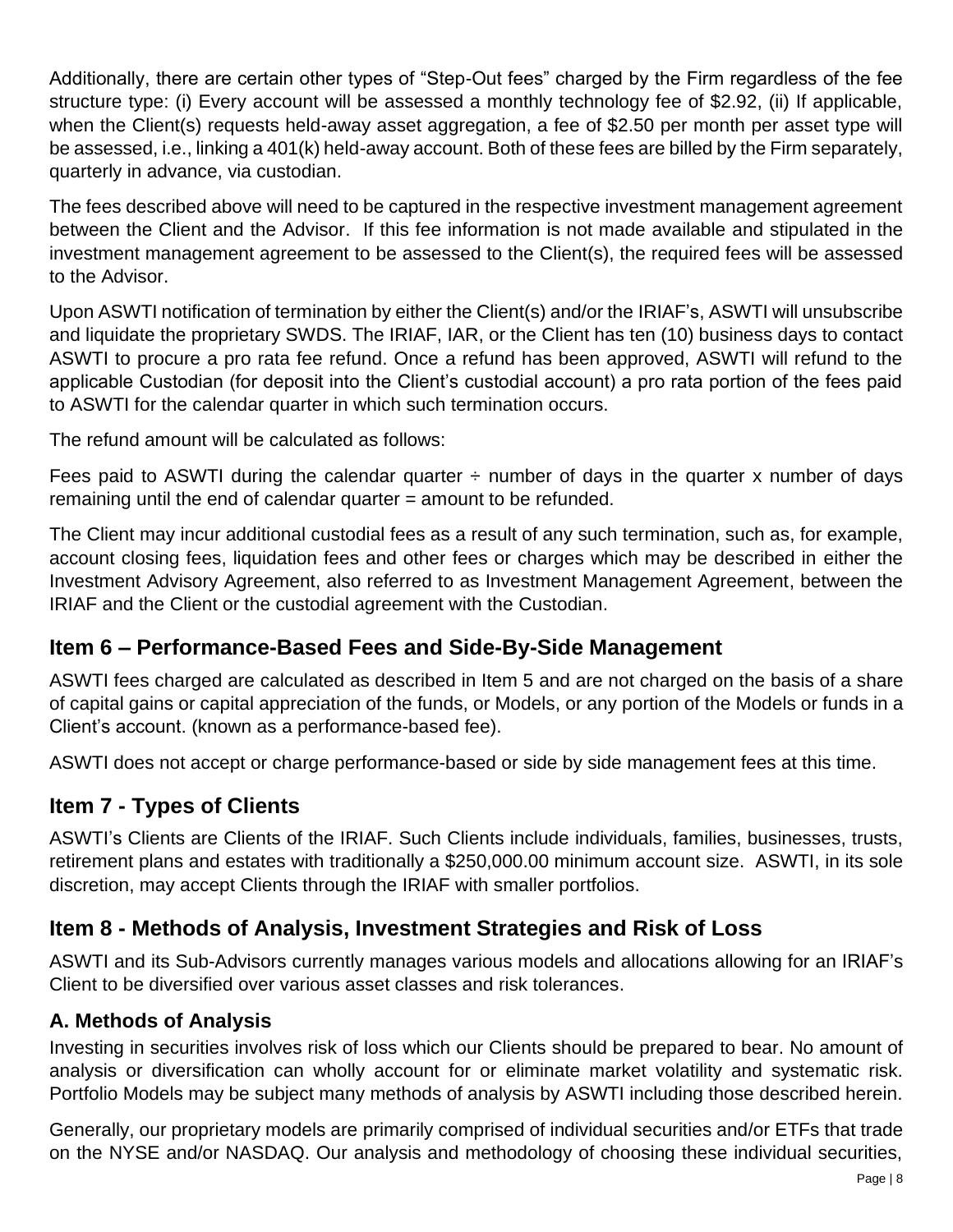Additionally, there are certain other types of "Step-Out fees" charged by the Firm regardless of the fee structure type: (i) Every account will be assessed a monthly technology fee of \$2.92, (ii) If applicable, when the Client(s) requests held-away asset aggregation, a fee of \$2.50 per month per asset type will be assessed, i.e., linking a 401(k) held-away account. Both of these fees are billed by the Firm separately, quarterly in advance, via custodian.

The fees described above will need to be captured in the respective investment management agreement between the Client and the Advisor. If this fee information is not made available and stipulated in the investment management agreement to be assessed to the Client(s), the required fees will be assessed to the Advisor.

Upon ASWTI notification of termination by either the Client(s) and/or the IRIAF's, ASWTI will unsubscribe and liquidate the proprietary SWDS. The IRIAF, IAR, or the Client has ten (10) business days to contact ASWTI to procure a pro rata fee refund. Once a refund has been approved, ASWTI will refund to the applicable Custodian (for deposit into the Client's custodial account) a pro rata portion of the fees paid to ASWTI for the calendar quarter in which such termination occurs.

The refund amount will be calculated as follows:

Fees paid to ASWTI during the calendar quarter  $\div$  number of days in the quarter x number of days remaining until the end of calendar quarter = amount to be refunded.

The Client may incur additional custodial fees as a result of any such termination, such as, for example, account closing fees, liquidation fees and other fees or charges which may be described in either the Investment Advisory Agreement, also referred to as Investment Management Agreement, between the IRIAF and the Client or the custodial agreement with the Custodian.

## <span id="page-7-0"></span>**Item 6 – Performance-Based Fees and Side-By-Side Management**

ASWTI fees charged are calculated as described in Item 5 and are not charged on the basis of a share of capital gains or capital appreciation of the funds, or Models, or any portion of the Models or funds in a Client's account. (known as a performance-based fee).

ASWTI does not accept or charge performance-based or side by side management fees at this time.

# <span id="page-7-1"></span>**Item 7 - Types of Clients**

ASWTI's Clients are Clients of the IRIAF. Such Clients include individuals, families, businesses, trusts, retirement plans and estates with traditionally a \$250,000.00 minimum account size. ASWTI, in its sole discretion, may accept Clients through the IRIAF with smaller portfolios.

## <span id="page-7-2"></span>**Item 8 - Methods of Analysis, Investment Strategies and Risk of Loss**

ASWTI and its Sub-Advisors currently manages various models and allocations allowing for an IRIAF's Client to be diversified over various asset classes and risk tolerances.

## **A. Methods of Analysis**

Investing in securities involves risk of loss which our Clients should be prepared to bear. No amount of analysis or diversification can wholly account for or eliminate market volatility and systematic risk. Portfolio Models may be subject many methods of analysis by ASWTI including those described herein.

Generally, our proprietary models are primarily comprised of individual securities and/or ETFs that trade on the NYSE and/or NASDAQ. Our analysis and methodology of choosing these individual securities,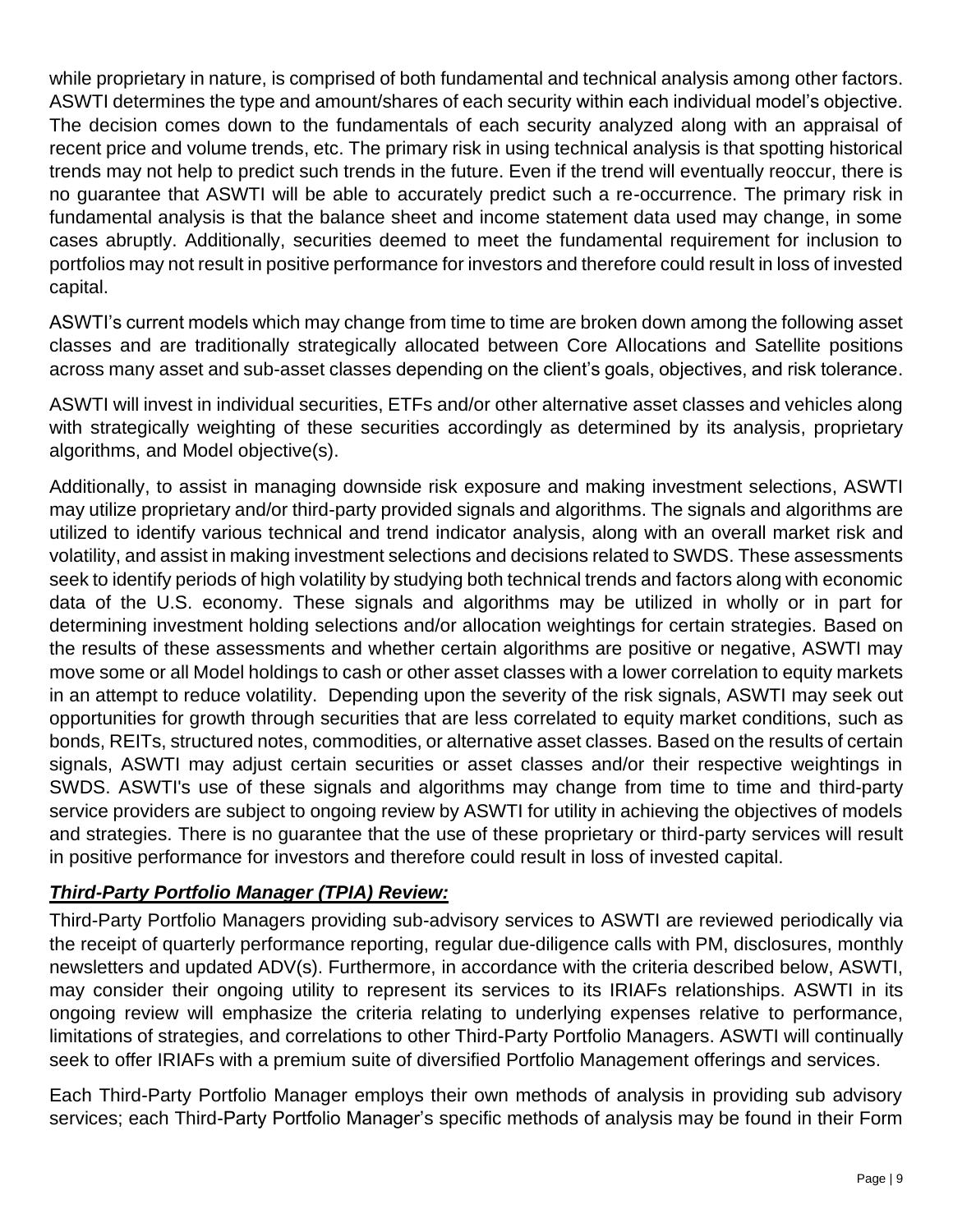while proprietary in nature, is comprised of both fundamental and technical analysis among other factors. ASWTI determines the type and amount/shares of each security within each individual model's objective. The decision comes down to the fundamentals of each security analyzed along with an appraisal of recent price and volume trends, etc. The primary risk in using technical analysis is that spotting historical trends may not help to predict such trends in the future. Even if the trend will eventually reoccur, there is no guarantee that ASWTI will be able to accurately predict such a re-occurrence. The primary risk in fundamental analysis is that the balance sheet and income statement data used may change, in some cases abruptly. Additionally, securities deemed to meet the fundamental requirement for inclusion to portfolios may not result in positive performance for investors and therefore could result in loss of invested capital.

ASWTI's current models which may change from time to time are broken down among the following asset classes and are traditionally strategically allocated between Core Allocations and Satellite positions across many asset and sub-asset classes depending on the client's goals, objectives, and risk tolerance.

ASWTI will invest in individual securities, ETFs and/or other alternative asset classes and vehicles along with strategically weighting of these securities accordingly as determined by its analysis, proprietary algorithms, and Model objective(s).

Additionally, to assist in managing downside risk exposure and making investment selections, ASWTI may utilize proprietary and/or third-party provided signals and algorithms. The signals and algorithms are utilized to identify various technical and trend indicator analysis, along with an overall market risk and volatility, and assist in making investment selections and decisions related to SWDS. These assessments seek to identify periods of high volatility by studying both technical trends and factors along with economic data of the U.S. economy. These signals and algorithms may be utilized in wholly or in part for determining investment holding selections and/or allocation weightings for certain strategies. Based on the results of these assessments and whether certain algorithms are positive or negative, ASWTI may move some or all Model holdings to cash or other asset classes with a lower correlation to equity markets in an attempt to reduce volatility. Depending upon the severity of the risk signals, ASWTI may seek out opportunities for growth through securities that are less correlated to equity market conditions, such as bonds, REITs, structured notes, commodities, or alternative asset classes. Based on the results of certain signals, ASWTI may adjust certain securities or asset classes and/or their respective weightings in SWDS. ASWTI's use of these signals and algorithms may change from time to time and third-party service providers are subject to ongoing review by ASWTI for utility in achieving the objectives of models and strategies. There is no guarantee that the use of these proprietary or third-party services will result in positive performance for investors and therefore could result in loss of invested capital.

## *Third-Party Portfolio Manager (TPIA) Review:*

Third-Party Portfolio Managers providing sub-advisory services to ASWTI are reviewed periodically via the receipt of quarterly performance reporting, regular due-diligence calls with PM, disclosures, monthly newsletters and updated ADV(s). Furthermore, in accordance with the criteria described below, ASWTI, may consider their ongoing utility to represent its services to its IRIAFs relationships. ASWTI in its ongoing review will emphasize the criteria relating to underlying expenses relative to performance, limitations of strategies, and correlations to other Third-Party Portfolio Managers. ASWTI will continually seek to offer IRIAFs with a premium suite of diversified Portfolio Management offerings and services.

Each Third-Party Portfolio Manager employs their own methods of analysis in providing sub advisory services; each Third-Party Portfolio Manager's specific methods of analysis may be found in their Form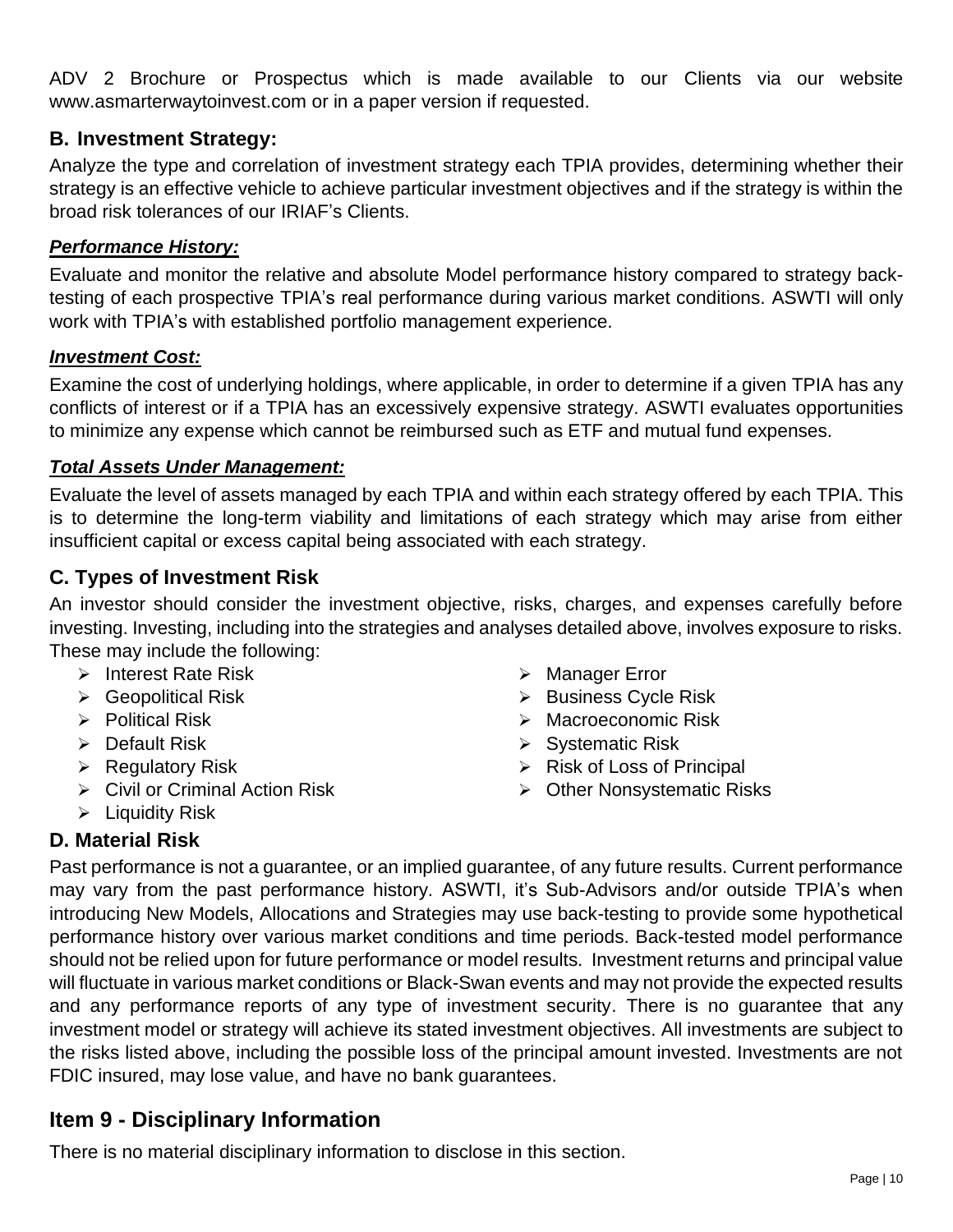ADV 2 Brochure or Prospectus which is made available to our Clients via our website www.asmarterwaytoinvest.com or in a paper version if requested.

## **B. Investment Strategy:**

Analyze the type and correlation of investment strategy each TPIA provides, determining whether their strategy is an effective vehicle to achieve particular investment objectives and if the strategy is within the broad risk tolerances of our IRIAF's Clients.

### *Performance History:*

Evaluate and monitor the relative and absolute Model performance history compared to strategy backtesting of each prospective TPIA's real performance during various market conditions. ASWTI will only work with TPIA's with established portfolio management experience.

#### *Investment Cost:*

Examine the cost of underlying holdings, where applicable, in order to determine if a given TPIA has any conflicts of interest or if a TPIA has an excessively expensive strategy. ASWTI evaluates opportunities to minimize any expense which cannot be reimbursed such as ETF and mutual fund expenses.

#### *Total Assets Under Management:*

Evaluate the level of assets managed by each TPIA and within each strategy offered by each TPIA. This is to determine the long-term viability and limitations of each strategy which may arise from either insufficient capital or excess capital being associated with each strategy.

## **C. Types of Investment Risk**

An investor should consider the investment objective, risks, charges, and expenses carefully before investing. Investing, including into the strategies and analyses detailed above, involves exposure to risks. These may include the following:

- ➢ Interest Rate Risk
- ➢ Geopolitical Risk
- ➢ Political Risk
- ➢ Default Risk
- ➢ Regulatory Risk
- ➢ Civil or Criminal Action Risk
- ➢ Liquidity Risk
- ➢ Manager Error
- ➢ Business Cycle Risk
- ➢ Macroeconomic Risk
- ➢ Systematic Risk
- $\triangleright$  Risk of Loss of Principal
- ➢ Other Nonsystematic Risks

## **D. Material Risk**

Past performance is not a guarantee, or an implied guarantee, of any future results. Current performance may vary from the past performance history. ASWTI, it's Sub-Advisors and/or outside TPIA's when introducing New Models, Allocations and Strategies may use back-testing to provide some hypothetical performance history over various market conditions and time periods. Back-tested model performance should not be relied upon for future performance or model results. Investment returns and principal value will fluctuate in various market conditions or Black-Swan events and may not provide the expected results and any performance reports of any type of investment security. There is no guarantee that any investment model or strategy will achieve its stated investment objectives. All investments are subject to the risks listed above, including the possible loss of the principal amount invested. Investments are not FDIC insured, may lose value, and have no bank guarantees.

## <span id="page-9-0"></span>**Item 9 - Disciplinary Information**

There is no material disciplinary information to disclose in this section.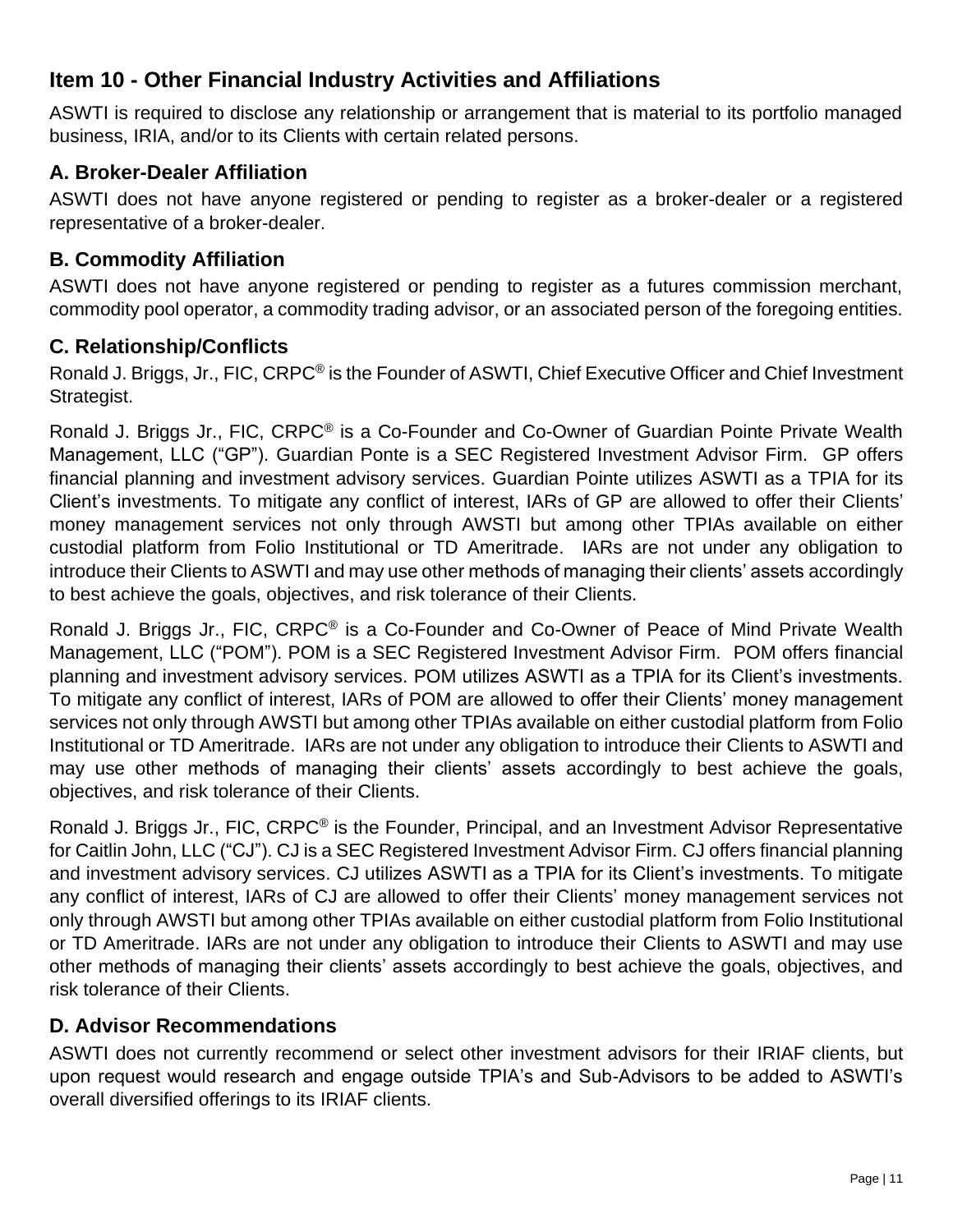# <span id="page-10-0"></span>**Item 10 - Other Financial Industry Activities and Affiliations**

ASWTI is required to disclose any relationship or arrangement that is material to its portfolio managed business, IRIA, and/or to its Clients with certain related persons.

## **A. Broker-Dealer Affiliation**

ASWTI does not have anyone registered or pending to register as a broker-dealer or a registered representative of a broker-dealer.

## **B. Commodity Affiliation**

ASWTI does not have anyone registered or pending to register as a futures commission merchant, commodity pool operator, a commodity trading advisor, or an associated person of the foregoing entities.

## **C. Relationship/Conflicts**

Ronald J. Briggs, Jr., FIC, CRPC<sup>®</sup> is the Founder of ASWTI, Chief Executive Officer and Chief Investment Strategist.

Ronald J. Briggs Jr., FIC, CRPC® is a Co-Founder and Co-Owner of Guardian Pointe Private Wealth Management, LLC ("GP"). Guardian Ponte is a SEC Registered Investment Advisor Firm. GP offers financial planning and investment advisory services. Guardian Pointe utilizes ASWTI as a TPIA for its Client's investments. To mitigate any conflict of interest, IARs of GP are allowed to offer their Clients' money management services not only through AWSTI but among other TPIAs available on either custodial platform from Folio Institutional or TD Ameritrade. IARs are not under any obligation to introduce their Clients to ASWTI and may use other methods of managing their clients' assets accordingly to best achieve the goals, objectives, and risk tolerance of their Clients.

Ronald J. Briggs Jr., FIC, CRPC<sup>®</sup> is a Co-Founder and Co-Owner of Peace of Mind Private Wealth Management, LLC ("POM"). POM is a SEC Registered Investment Advisor Firm. POM offers financial planning and investment advisory services. POM utilizes ASWTI as a TPIA for its Client's investments. To mitigate any conflict of interest, IARs of POM are allowed to offer their Clients' money management services not only through AWSTI but among other TPIAs available on either custodial platform from Folio Institutional or TD Ameritrade. IARs are not under any obligation to introduce their Clients to ASWTI and may use other methods of managing their clients' assets accordingly to best achieve the goals, objectives, and risk tolerance of their Clients.

Ronald J. Briggs Jr., FIC, CRPC<sup>®</sup> is the Founder, Principal, and an Investment Advisor Representative for Caitlin John, LLC ("CJ"). CJ is a SEC Registered Investment Advisor Firm. CJ offers financial planning and investment advisory services. CJ utilizes ASWTI as a TPIA for its Client's investments. To mitigate any conflict of interest, IARs of CJ are allowed to offer their Clients' money management services not only through AWSTI but among other TPIAs available on either custodial platform from Folio Institutional or TD Ameritrade. IARs are not under any obligation to introduce their Clients to ASWTI and may use other methods of managing their clients' assets accordingly to best achieve the goals, objectives, and risk tolerance of their Clients.

## **D. Advisor Recommendations**

ASWTI does not currently recommend or select other investment advisors for their IRIAF clients, but upon request would research and engage outside TPIA's and Sub-Advisors to be added to ASWTI's overall diversified offerings to its IRIAF clients.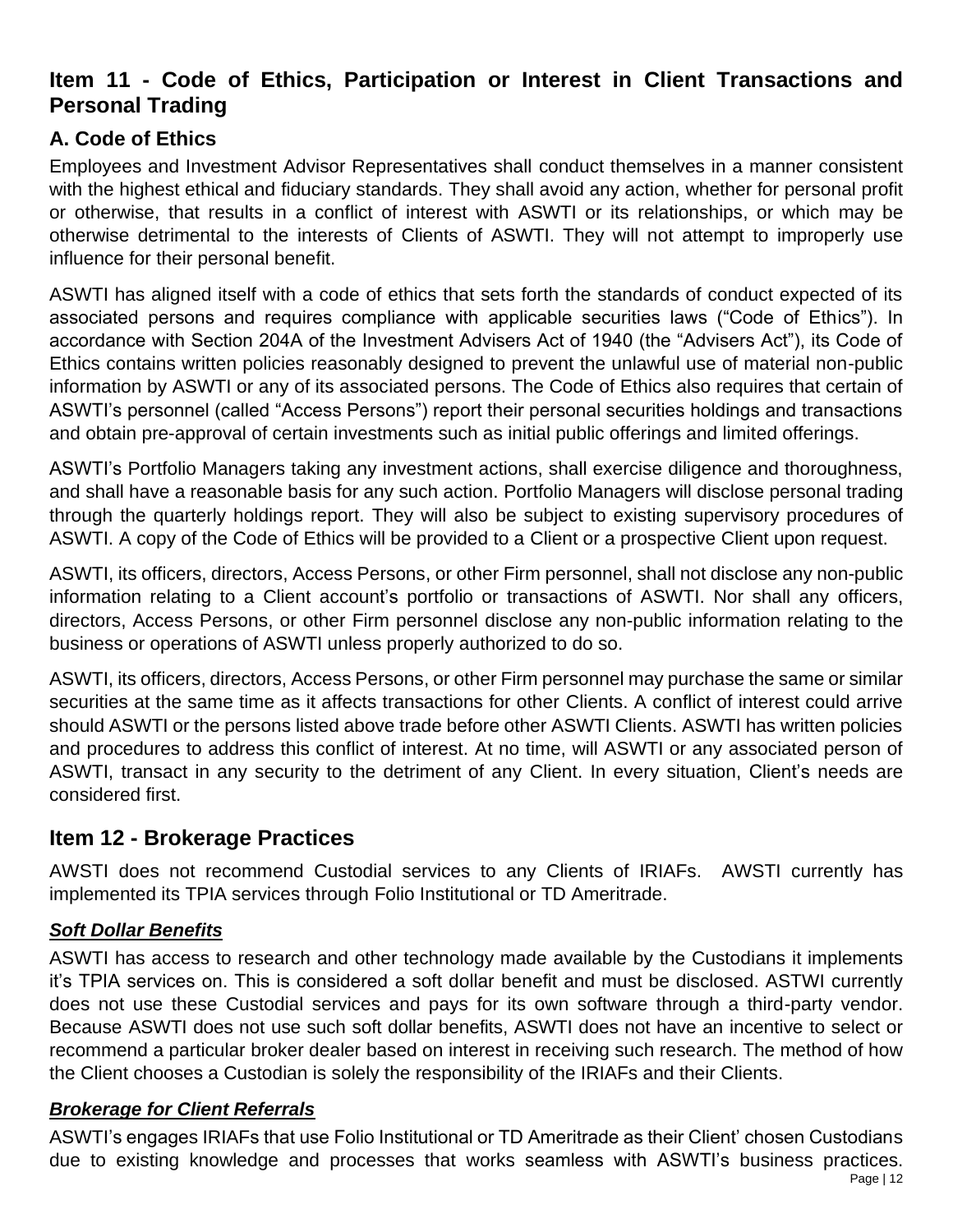# <span id="page-11-0"></span>**Item 11 - Code of Ethics, Participation or Interest in Client Transactions and Personal Trading**

## **A. Code of Ethics**

Employees and Investment Advisor Representatives shall conduct themselves in a manner consistent with the highest ethical and fiduciary standards. They shall avoid any action, whether for personal profit or otherwise, that results in a conflict of interest with ASWTI or its relationships, or which may be otherwise detrimental to the interests of Clients of ASWTI. They will not attempt to improperly use influence for their personal benefit.

ASWTI has aligned itself with a code of ethics that sets forth the standards of conduct expected of its associated persons and requires compliance with applicable securities laws ("Code of Ethics"). In accordance with Section 204A of the Investment Advisers Act of 1940 (the "Advisers Act"), its Code of Ethics contains written policies reasonably designed to prevent the unlawful use of material non-public information by ASWTI or any of its associated persons. The Code of Ethics also requires that certain of ASWTI's personnel (called "Access Persons") report their personal securities holdings and transactions and obtain pre-approval of certain investments such as initial public offerings and limited offerings.

ASWTI's Portfolio Managers taking any investment actions, shall exercise diligence and thoroughness, and shall have a reasonable basis for any such action. Portfolio Managers will disclose personal trading through the quarterly holdings report. They will also be subject to existing supervisory procedures of ASWTI. A copy of the Code of Ethics will be provided to a Client or a prospective Client upon request.

ASWTI, its officers, directors, Access Persons, or other Firm personnel, shall not disclose any non-public information relating to a Client account's portfolio or transactions of ASWTI. Nor shall any officers, directors, Access Persons, or other Firm personnel disclose any non-public information relating to the business or operations of ASWTI unless properly authorized to do so.

ASWTI, its officers, directors, Access Persons, or other Firm personnel may purchase the same or similar securities at the same time as it affects transactions for other Clients. A conflict of interest could arrive should ASWTI or the persons listed above trade before other ASWTI Clients. ASWTI has written policies and procedures to address this conflict of interest. At no time, will ASWTI or any associated person of ASWTI, transact in any security to the detriment of any Client. In every situation, Client's needs are considered first.

## <span id="page-11-1"></span>**Item 12 - Brokerage Practices**

AWSTI does not recommend Custodial services to any Clients of IRIAFs. AWSTI currently has implemented its TPIA services through Folio Institutional or TD Ameritrade.

## *Soft Dollar Benefits*

ASWTI has access to research and other technology made available by the Custodians it implements it's TPIA services on. This is considered a soft dollar benefit and must be disclosed. ASTWI currently does not use these Custodial services and pays for its own software through a third-party vendor. Because ASWTI does not use such soft dollar benefits, ASWTI does not have an incentive to select or recommend a particular broker dealer based on interest in receiving such research. The method of how the Client chooses a Custodian is solely the responsibility of the IRIAFs and their Clients.

#### *Brokerage for Client Referrals*

ASWTI's engages IRIAFs that use Folio Institutional or TD Ameritrade as their Client' chosen Custodians due to existing knowledge and processes that works seamless with ASWTI's business practices.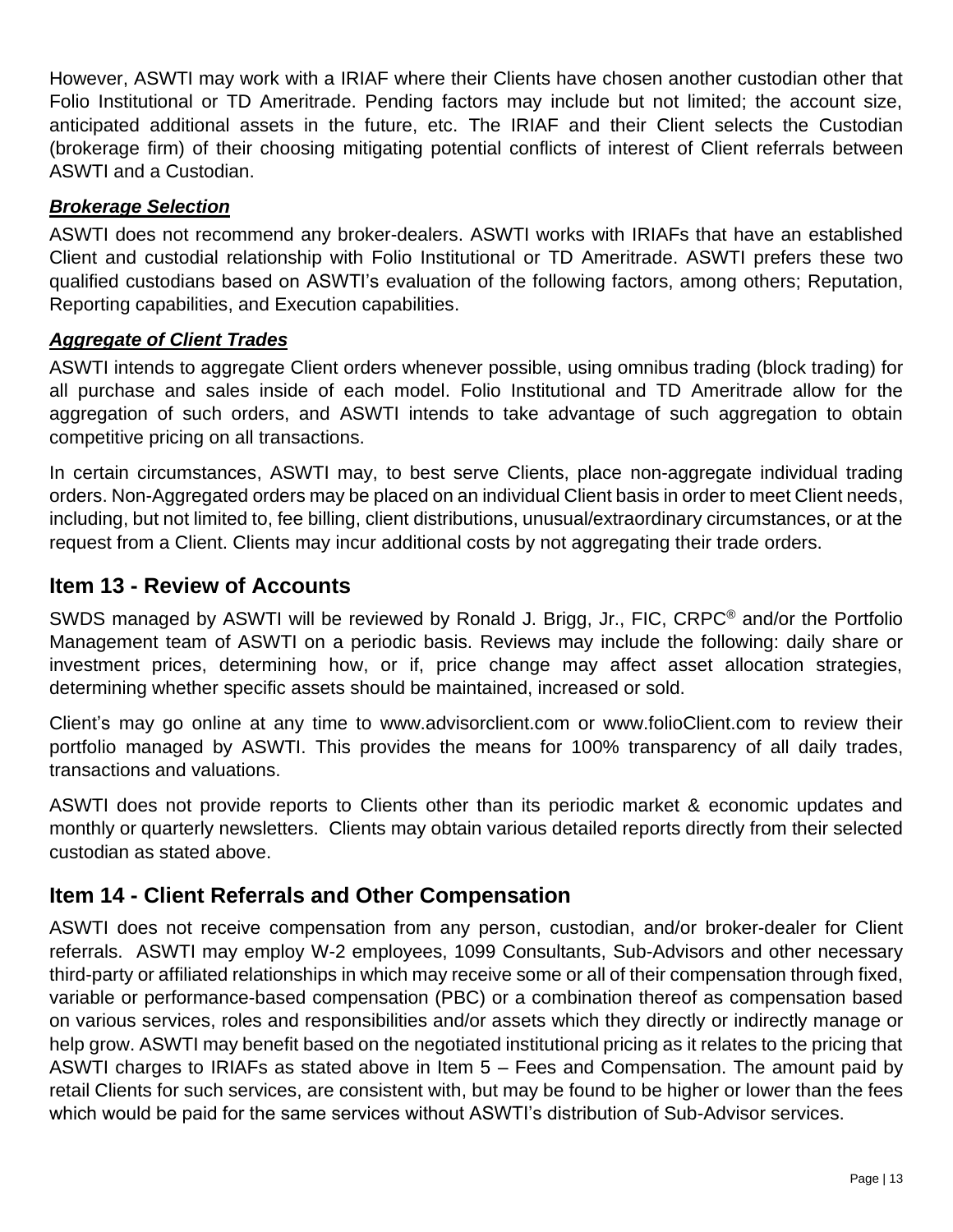However, ASWTI may work with a IRIAF where their Clients have chosen another custodian other that Folio Institutional or TD Ameritrade. Pending factors may include but not limited; the account size, anticipated additional assets in the future, etc. The IRIAF and their Client selects the Custodian (brokerage firm) of their choosing mitigating potential conflicts of interest of Client referrals between ASWTI and a Custodian.

#### *Brokerage Selection*

ASWTI does not recommend any broker-dealers. ASWTI works with IRIAFs that have an established Client and custodial relationship with Folio Institutional or TD Ameritrade. ASWTI prefers these two qualified custodians based on ASWTI's evaluation of the following factors, among others; Reputation, Reporting capabilities, and Execution capabilities.

#### *Aggregate of Client Trades*

ASWTI intends to aggregate Client orders whenever possible, using omnibus trading (block trading) for all purchase and sales inside of each model. Folio Institutional and TD Ameritrade allow for the aggregation of such orders, and ASWTI intends to take advantage of such aggregation to obtain competitive pricing on all transactions.

In certain circumstances, ASWTI may, to best serve Clients, place non-aggregate individual trading orders. Non-Aggregated orders may be placed on an individual Client basis in order to meet Client needs, including, but not limited to, fee billing, client distributions, unusual/extraordinary circumstances, or at the request from a Client. Clients may incur additional costs by not aggregating their trade orders.

## <span id="page-12-0"></span>**Item 13 - Review of Accounts**

SWDS managed by ASWTI will be reviewed by Ronald J. Brigg, Jr., FIC, CRPC<sup>®</sup> and/or the Portfolio Management team of ASWTI on a periodic basis. Reviews may include the following: daily share or investment prices, determining how, or if, price change may affect asset allocation strategies, determining whether specific assets should be maintained, increased or sold.

Client's may go online at any time to www.advisorclient.com or www.folioClient.com to review their portfolio managed by ASWTI. This provides the means for 100% transparency of all daily trades, transactions and valuations.

ASWTI does not provide reports to Clients other than its periodic market & economic updates and monthly or quarterly newsletters. Clients may obtain various detailed reports directly from their selected custodian as stated above.

## <span id="page-12-1"></span>**Item 14 - Client Referrals and Other Compensation**

ASWTI does not receive compensation from any person, custodian, and/or broker-dealer for Client referrals. ASWTI may employ W-2 employees, 1099 Consultants, Sub-Advisors and other necessary third-party or affiliated relationships in which may receive some or all of their compensation through fixed, variable or performance-based compensation (PBC) or a combination thereof as compensation based on various services, roles and responsibilities and/or assets which they directly or indirectly manage or help grow. ASWTI may benefit based on the negotiated institutional pricing as it relates to the pricing that ASWTI charges to IRIAFs as stated above in Item 5 – Fees and Compensation. The amount paid by retail Clients for such services, are consistent with, but may be found to be higher or lower than the fees which would be paid for the same services without ASWTI's distribution of Sub-Advisor services.